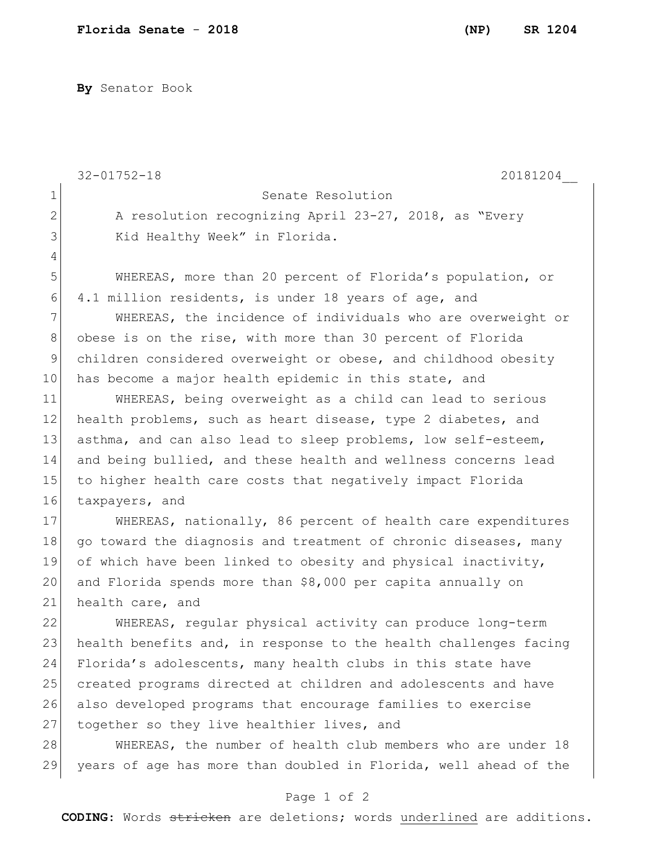**By** Senator Book

|              | $32 - 01752 - 18$<br>20181204                                    |
|--------------|------------------------------------------------------------------|
| $\mathbf 1$  | Senate Resolution                                                |
| $\mathbf{2}$ | A resolution recognizing April 23-27, 2018, as "Every            |
| 3            | Kid Healthy Week" in Florida.                                    |
| 4            |                                                                  |
| 5            | WHEREAS, more than 20 percent of Florida's population, or        |
| 6            | 4.1 million residents, is under 18 years of age, and             |
| 7            | WHEREAS, the incidence of individuals who are overweight or      |
| 8            | obese is on the rise, with more than 30 percent of Florida       |
| 9            | children considered overweight or obese, and childhood obesity   |
| 10           | has become a major health epidemic in this state, and            |
| 11           | WHEREAS, being overweight as a child can lead to serious         |
| 12           | health problems, such as heart disease, type 2 diabetes, and     |
| 13           | asthma, and can also lead to sleep problems, low self-esteem,    |
| 14           | and being bullied, and these health and wellness concerns lead   |
| 15           | to higher health care costs that negatively impact Florida       |
| 16           | taxpayers, and                                                   |
| 17           | WHEREAS, nationally, 86 percent of health care expenditures      |
| 18           | go toward the diagnosis and treatment of chronic diseases, many  |
| 19           | of which have been linked to obesity and physical inactivity,    |
| 20           | and Florida spends more than \$8,000 per capita annually on      |
| 21           | health care, and                                                 |
| 22           | WHEREAS, regular physical activity can produce long-term         |
| 23           | health benefits and, in response to the health challenges facing |
| 24           | Florida's adolescents, many health clubs in this state have      |
| 25           | created programs directed at children and adolescents and have   |
| 26           | also developed programs that encourage families to exercise      |
| 27           | together so they live healthier lives, and                       |
| 28           | WHEREAS, the number of health club members who are under 18      |
| 29           | years of age has more than doubled in Florida, well ahead of the |

## Page 1 of 2

**CODING**: Words stricken are deletions; words underlined are additions.